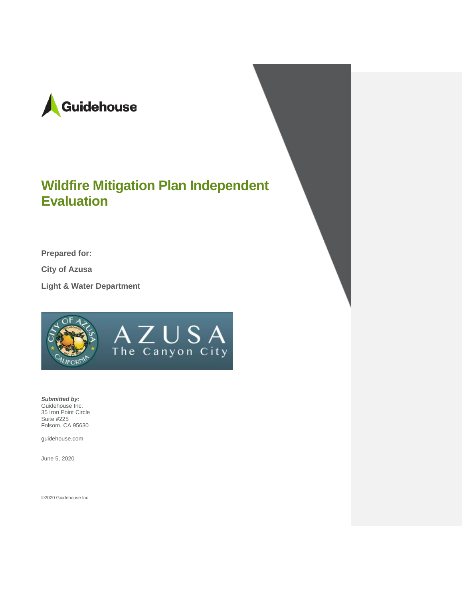

# **Wildfire Mitigation Plan Independent Evaluation**

AZUSA<sub>The Canyon City</sub>

**Prepared for:**

**City of Azusa**

**Light & Water Department**



*Submitted by:* Guidehouse Inc. 35 Iron Point Circle Suite #225 Folsom, CA 95630

guidehouse.com

June 5, 2020

©2020 Guidehouse Inc.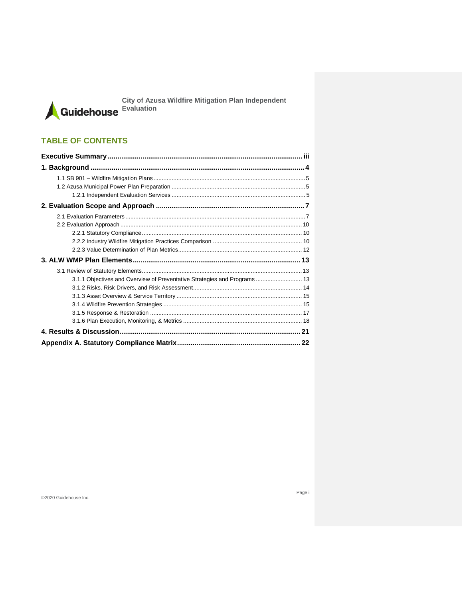City of Azusa Wildfire Mitigation Plan Independent<br>Guidehouse Evaluation

### **TABLE OF CONTENTS**

| 3.1.1 Objectives and Overview of Preventative Strategies and Programs 13 |  |
|--------------------------------------------------------------------------|--|
|                                                                          |  |
|                                                                          |  |
|                                                                          |  |
|                                                                          |  |
|                                                                          |  |
|                                                                          |  |
|                                                                          |  |

©2020 Guidehouse Inc.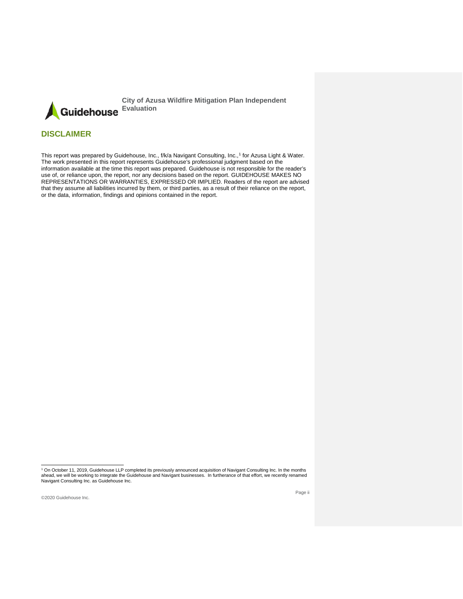Guidehouse Evaluation

**City of Azusa Wildfire Mitigation Plan Independent** 

### **DISCLAIMER**

This report was prepared by Guidehouse, Inc., f/k/a Navigant Consulting, Inc., [1](#page-2-0) for Azusa Light & Water. The work presented in this report represents Guidehouse's professional judgment based on the information available at the time this report was prepared. Guidehouse is not responsible for the reader's use of, or reliance upon, the report, nor any decisions based on the report. GUIDEHOUSE MAKES NO REPRESENTATIONS OR WARRANTIES, EXPRESSED OR IMPLIED. Readers of the report are advised that they assume all liabilities incurred by them, or third parties, as a result of their reliance on the report, or the data, information, findings and opinions contained in the report.

<span id="page-2-0"></span><sup>.&</sup>lt;br>On October 11, 2019, Guidehouse LLP completed its previously announced acquisition of Navigant Consulting Inc. In the months ?<br>ahead, we will be working to integrate the Guidehouse and Navigant businesses. In furtherance Navigant Consulting Inc. as Guidehouse Inc.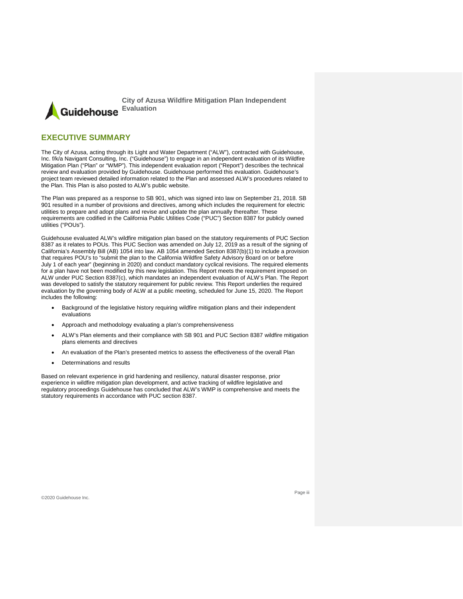**City of Azusa Wildfire Mitigation Plan Independent Evaluation** Guidehouse

### <span id="page-3-0"></span>**EXECUTIVE SUMMARY**

The City of Azusa, acting through its Light and Water Department ("ALW"), contracted with Guidehouse, Inc. f/k/a Navigant Consulting, Inc. ("Guidehouse") to engage in an independent evaluation of its Wildfire Mitigation Plan ("Plan" or "WMP"). This independent evaluation report ("Report") describes the technical review and evaluation provided by Guidehouse. Guidehouse performed this evaluation. Guidehouse's project team reviewed detailed information related to the Plan and assessed ALW's procedures related to the Plan. This Plan is also posted to ALW's public website.

The Plan was prepared as a response to SB 901, which was signed into law on September 21, 2018. SB 901 resulted in a number of provisions and directives, among which includes the requirement for electric utilities to prepare and adopt plans and revise and update the plan annually thereafter. These requirements are codified in the California Public Utilities Code ("PUC") Section 8387 for publicly owned utilities ("POUs").

Guidehouse evaluated ALW's wildfire mitigation plan based on the statutory requirements of PUC Section 8387 as it relates to POUs. This PUC Section was amended on July 12, 2019 as a result of the signing of California's Assembly Bill (AB) 1054 into law. AB 1054 amended Section 8387(b)(1) to include a provision that requires POU's to "submit the plan to the California Wildfire Safety Advisory Board on or before July 1 of each year" (beginning in 2020) and conduct mandatory cyclical revisions. The required elements for a plan have not been modified by this new legislation. This Report meets the requirement imposed on ALW under PUC Section 8387(c), which mandates an independent evaluation of ALW's Plan. The Report was developed to satisfy the statutory requirement for public review. This Report underlies the required evaluation by the governing body of ALW at a public meeting, scheduled for June 15, 2020. The Report includes the following:

- Background of the legislative history requiring wildfire mitigation plans and their independent evaluations
- Approach and methodology evaluating a plan's comprehensiveness
- ALW's Plan elements and their compliance with SB 901 and PUC Section 8387 wildfire mitigation plans elements and directives
- An evaluation of the Plan's presented metrics to assess the effectiveness of the overall Plan
- Determinations and results

Based on relevant experience in grid hardening and resiliency, natural disaster response, prior experience in wildfire mitigation plan development, and active tracking of wildfire legislative and regulatory proceedings Guidehouse has concluded that ALW's WMP is comprehensive and meets the statutory requirements in accordance with PUC section 8387.

©2020 Guidehouse Inc.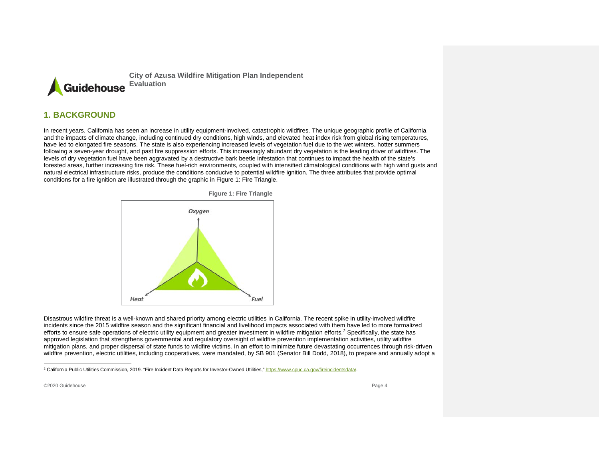<span id="page-4-1"></span>

### **1. BACKGROUND**

In recent years, California has seen an increase in utility equipment-involved, catastrophic wildfires. The unique geographic profile of California and the impacts of climate change, including continued dry conditions, high winds, and elevated heat index risk from global rising temperatures, have led to elongated fire seasons. The state is also experiencing increased levels of vegetation fuel due to the wet winters, hotter summers following a seven-year drought, and past fire suppression efforts. This increasingly abundant dry vegetation is the leading driver of wildfires. The levels of dry vegetation fuel have been aggravated by a destructive bark beetle infestation that continues to impact the health of the state's forested areas, further increasing fire risk. These fuel-rich environments, coupled with intensified climatological conditions with high wind gusts and natural electrical infrastructure risks, produce the conditions conducive to potential wildfire ignition. The three attributes that provide optimal conditions for a fire ignition are illustrated through the graphic in Figure 1: Fire Triangle.



<span id="page-4-0"></span>Disastrous wildfire threat is a well-known and shared priority among electric utilities in California. The recent spike in utility-involved wildfire incidents since the 2015 wildfire season and the significant financial and livelihood impacts associated with them have led to more formalized efforts to ensure safe operations of electric utility equipment and greater investment in wildfire mitigation efforts.<sup>[2](#page-4-1)</sup> Specifically, the state has approved legislation that strengthens governmental and regulatory oversight of wildfire prevention implementation activities, utility wildfire mitigation plans, and proper dispersal of state funds to wildfire victims. In an effort to minimize future devastating occurrences through risk-driven wildfire prevention, electric utilities, including cooperatives, were mandated, by SB 901 (Senator Bill Dodd, 2018), to prepare and annually adopt a

<sup>&</sup>lt;sup>2</sup> California Public Utilities Commission, 2019. "Fire Incident Data Reports for Investor-Owned Utilities,[" https://www.cpuc.ca.gov/fireincidentsdata/.](https://www.cpuc.ca.gov/fireincidentsdata/)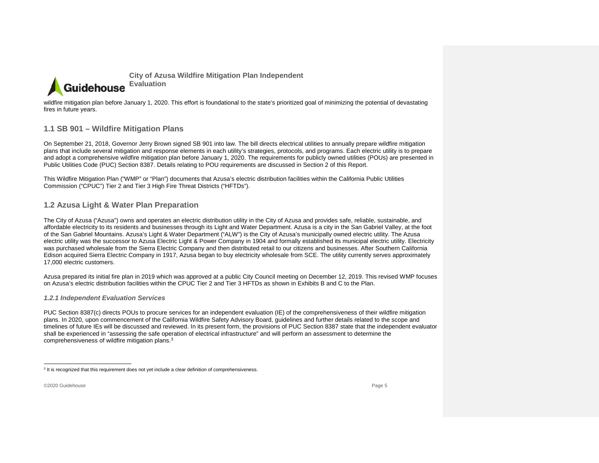<span id="page-5-3"></span>

wildfire mitigation plan before January 1, 2020. This effort is foundational to the state's prioritized goal of minimizing the potential of devastating fires in future years.

### **1.1 SB 901 – Wildfire Mitigation Plans**

On September 21, 2018, Governor Jerry Brown signed SB 901 into law. The bill directs electrical utilities to annually prepare wildfire mitigation plans that include several mitigation and response elements in each utility's strategies, protocols, and programs. Each electric utility is to prepare and adopt a comprehensive wildfire mitigation plan before January 1, 2020. The requirements for publicly owned utilities (POUs) are presented in Public Utilities Code (PUC) Section 8387. Details relating to POU requirements are discussed in Section 2 of this Report.

This Wildfire Mitigation Plan ("WMP" or "Plan") documents that Azusa's electric distribution facilities within the California Public Utilities Commission ("CPUC") Tier 2 and Tier 3 High Fire Threat Districts ("HFTDs").

### **1.2 Azusa Light & Water Plan Preparation**

The City of Azusa ("Azusa") owns and operates an electric distribution utility in the City of Azusa and provides safe, reliable, sustainable, and affordable electricity to its residents and businesses through its Light and Water Department. Azusa is a city in the San Gabriel Valley, at the foot of the San Gabriel Mountains. Azusa's Light & Water Department ("ALW") is the City of Azusa's municipally owned electric utility. The Azusa electric utility was the successor to Azusa Electric Light & Power Company in 1904 and formally established its municipal electric utility. Electricity was purchased wholesale from the Sierra Electric Company and then distributed retail to our citizens and businesses. After Southern California Edison acquired Sierra Electric Company in 1917, Azusa began to buy electricity wholesale from SCE. The utility currently serves approximately 17,000 electric customers.

<span id="page-5-0"></span>Azusa prepared its initial fire plan in 2019 which was approved at a public City Council meeting on December 12, 2019. This revised WMP focuses on Azusa's electric distribution facilities within the CPUC Tier 2 and Tier 3 HFTDs as shown in Exhibits B and C to the Plan.

#### *1.2.1 Independent Evaluation Services*

PUC Section 8387(c) directs POUs to procure services for an independent evaluation (IE) of the comprehensiveness of their wildfire mitigation plans. In 2020, upon commencement of the California Wildfire Safety Advisory Board, guidelines and further details related to the scope and timelines of future IEs will be discussed and reviewed. In its present form, the provisions of PUC Section 8387 state that the independent evaluator shall be experienced in "assessing the safe operation of electrical infrastructure" and will perform an assessment to determine the comprehensiveness of wildfire mitigation plans.[3](#page-5-3)

<span id="page-5-2"></span><span id="page-5-1"></span><sup>&</sup>lt;sup>3</sup> It is recognized that this requirement does not yet include a clear definition of comprehensiveness.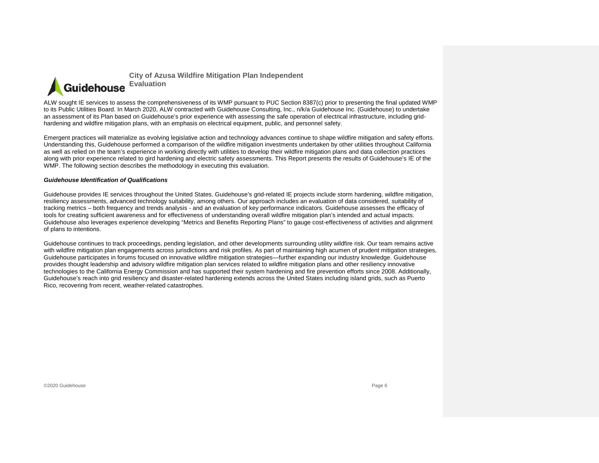

ALW sought IE services to assess the comprehensiveness of its WMP pursuant to PUC Section 8387(c) prior to presenting the final updated WMP to its Public Utilities Board. In March 2020, ALW contracted with Guidehouse Consulting, Inc., n/k/a Guidehouse Inc. (Guidehouse) to undertake an assessment of its Plan based on Guidehouse's prior experience with assessing the safe operation of electrical infrastructure, including gridhardening and wildfire mitigation plans, with an emphasis on electrical equipment, public, and personnel safety.

Emergent practices will materialize as evolving legislative action and technology advances continue to shape wildfire mitigation and safety efforts. Understanding this, Guidehouse performed a comparison of the wildfire mitigation investments undertaken by other utilities throughout California as well as relied on the team's experience in working directly with utilities to develop their wildfire mitigation plans and data collection practices along with prior experience related to gird hardening and electric safety assessments. This Report presents the results of Guidehouse's IE of the WMP. The following section describes the methodology in executing this evaluation.

#### *Guidehouse Identification of Qualifications*

Guidehouse provides IE services throughout the United States. Guidehouse's grid-related IE projects include storm hardening, wildfire mitigation, resiliency assessments, advanced technology suitability, among others. Our approach includes an evaluation of data considered, suitability of tracking metrics – both frequency and trends analysis - and an evaluation of key performance indicators. Guidehouse assesses the efficacy of tools for creating sufficient awareness and for effectiveness of understanding overall wildfire mitigation plan's intended and actual impacts. Guidehouse also leverages experience developing "Metrics and Benefits Reporting Plans" to gauge cost-effectiveness of activities and alignment of plans to intentions.

Guidehouse continues to track proceedings, pending legislation, and other developments surrounding utility wildfire risk. Our team remains active with wildfire mitigation plan engagements across jurisdictions and risk profiles. As part of maintaining high acumen of prudent mitigation strategies, Guidehouse participates in forums focused on innovative wildfire mitigation strategies—further expanding our industry knowledge. Guidehouse provides thought leadership and advisory wildfire mitigation plan services related to wildfire mitigation plans and other resiliency innovative technologies to the California Energy Commission and has supported their system hardening and fire prevention efforts since 2008. Additionally, Guidehouse's reach into grid resiliency and disaster-related hardening extends across the United States including island grids, such as Puerto Rico, recovering from recent, weather-related catastrophes.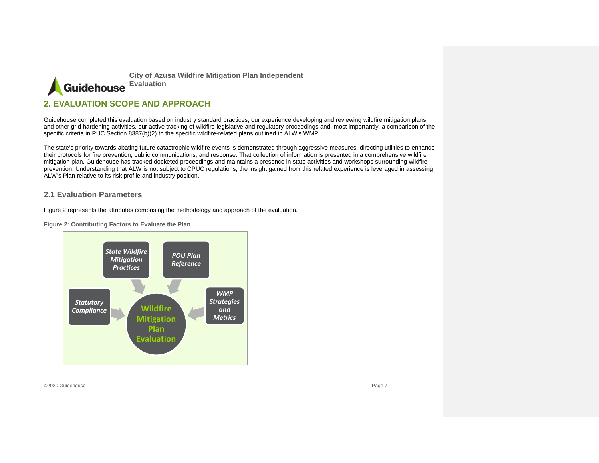

### **2. EVALUATION SCOPE AND APPROACH**

Guidehouse completed this evaluation based on industry standard practices, our experience developing and reviewing wildfire mitigation plans and other grid hardening activities, our active tracking of wildfire legislative and regulatory proceedings and, most importantly, a comparison of the specific criteria in PUC Section 8387(b)(2) to the specific wildfire-related plans outlined in ALW's WMP.

The state's priority towards abating future catastrophic wildfire events is demonstrated through aggressive measures, directing utilities to enhance their protocols for fire prevention, public communications, and response. That collection of information is presented in a comprehensive wildfire mitigation plan. Guidehouse has tracked docketed proceedings and maintains a presence in state activities and workshops surrounding wildfire prevention. Understanding that ALW is not subject to CPUC regulations, the insight gained from this related experience is leveraged in assessing ALW's Plan relative to its risk profile and industry position.

#### **2.1 Evaluation Parameters**

Figure 2 represents the attributes comprising the methodology and approach of the evaluation.

**Figure 2: Contributing Factors to Evaluate the Plan**

<span id="page-7-1"></span><span id="page-7-0"></span>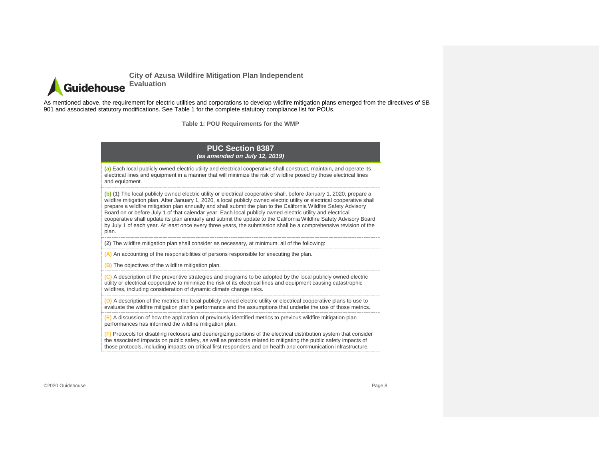

As mentioned above, the requirement for electric utilities and corporations to develop wildfire mitigation plans emerged from the directives of SB 901 and associated statutory modifications. See Table 1 for the complete statutory compliance list for POUs.

**Table 1: POU Requirements for the WMP**

#### **PUC Section 8387**  *(as amended on July 12, 2019)*

**(a)** Each local publicly owned electric utility and electrical cooperative shall construct, maintain, and operate its electrical lines and equipment in a manner that will minimize the risk of wildfire posed by those electrical lines and equipment.

**(b) (1)** The local publicly owned electric utility or electrical cooperative shall, before January 1, 2020, prepare a wildfire mitigation plan. After January 1, 2020, a local publicly owned electric utility or electrical cooperative shall prepare a wildfire mitigation plan annually and shall submit the plan to the California Wildfire Safety Advisory Board on or before July 1 of that calendar year. Each local publicly owned electric utility and electrical cooperative shall update its plan annually and submit the update to the California Wildfire Safety Advisory Board by July 1 of each year. At least once every three years, the submission shall be a comprehensive revision of the plan.

**(2)** The wildfire mitigation plan shall consider as necessary, at minimum, all of the following:

**(A)** An accounting of the responsibilities of persons responsible for executing the plan.

**(B)** The objectives of the wildfire mitigation plan.

**(C)** A description of the preventive strategies and programs to be adopted by the local publicly owned electric utility or electrical cooperative to minimize the risk of its electrical lines and equipment causing catastrophic wildfires, including consideration of dynamic climate change risks.

**(D)** A description of the metrics the local publicly owned electric utility or electrical cooperative plans to use to evaluate the wildfire mitigation plan's performance and the assumptions that underlie the use of those metrics.

**(E)** A discussion of how the application of previously identified metrics to previous wildfire mitigation plan performances has informed the wildfire mitigation plan.

**(F)** Protocols for disabling reclosers and deenergizing portions of the electrical distribution system that consider the associated impacts on public safety, as well as protocols related to mitigating the public safety impacts of those protocols, including impacts on critical first responders and on health and communication infrastructure.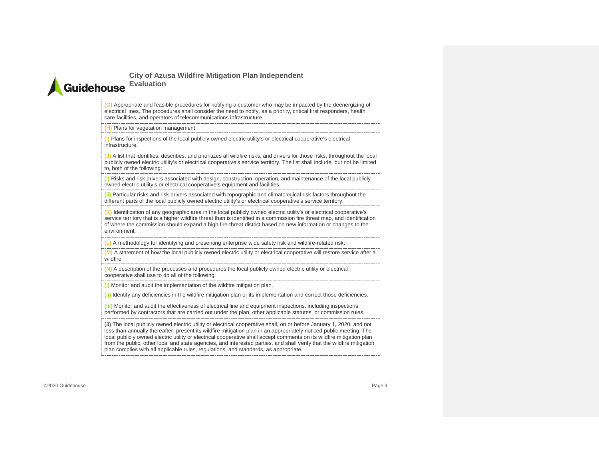# **City of Azusa Wildfire Mitigation Plan Independent Guidehouse** Evaluation

**(G)** Appropriate and feasible procedures for notifying a customer who may be impacted by the deenergizing of electrical lines. The procedures shall consider the need to notify, as a priority, critical first responders, health care facilities, and operators of telecommunications infrastructure.

#### **(H)** Plans for vegetation management.

**(I)** Plans for inspections of the local publicly owned electric utility's or electrical cooperative's electrical infrastructure.

**(J)** A list that identifies, describes, and prioritizes all wildfire risks, and drivers for those risks, throughout the local publicly owned electric utility's or electrical cooperative's service territory. The list shall include, but not be limited to, both of the following:

**(i)** Risks and risk drivers associated with design, construction, operation, and maintenance of the local publicly owned electric utility's or electrical cooperative's equipment and facilities.

**(ii)** Particular risks and risk drivers associated with topographic and climatological risk factors throughout the different parts of the local publicly owned electric utility's or electrical cooperative's service territory.

**(K)** Identification of any geographic area in the local publicly owned electric utility's or electrical cooperative's service territory that is a higher wildfire threat than is identified in a commission fire threat map, and identification of where the commission should expand a high fire-threat district based on new information or changes to the environment.

**(L)** A methodology for identifying and presenting enterprise wide safety risk and wildfire-related risk.

**(M)** A statement of how the local publicly owned electric utility or electrical cooperative will restore service after a wildfire.

**(N)** A description of the processes and procedures the local publicly owned electric utility or electrical cooperative shall use to do all of the following:

**(i)** Monitor and audit the implementation of the wildfire mitigation plan.

**(ii)** Identify any deficiencies in the wildfire mitigation plan or its implementation and correct those deficiencies.

**(iii)** Monitor and audit the effectiveness of electrical line and equipment inspections, including inspections performed by contractors that are carried out under the plan, other applicable statutes, or commission rules.

**(3)** The local publicly owned electric utility or electrical cooperative shall, on or before January 1, 2020, and not less than annually thereafter, present its wildfire mitigation plan in an appropriately noticed public meeting. The local publicly owned electric utility or electrical cooperative shall accept comments on its wildfire mitigation plan from the public, other local and state agencies, and interested parties, and shall verify that the wildfire mitigation plan complies with all applicable rules, regulations, and standards, as appropriate.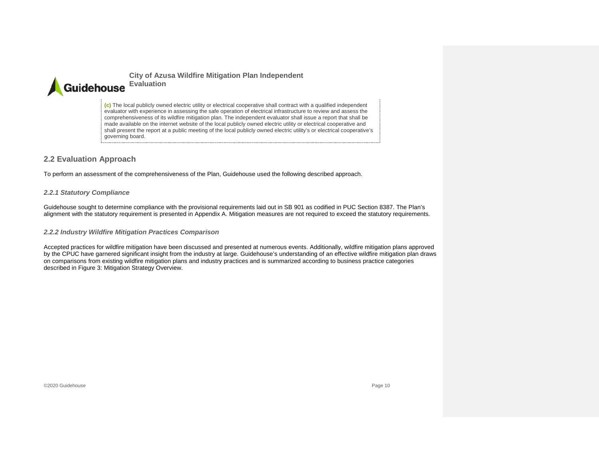

**(c)** The local publicly owned electric utility or electrical cooperative shall contract with a qualified independent evaluator with experience in assessing the safe operation of electrical infrastructure to review and assess the comprehensiveness of its wildfire mitigation plan. The independent evaluator shall issue a report that shall be made available on the internet website of the local publicly owned electric utility or electrical cooperative and shall present the report at a public meeting of the local publicly owned electric utility's or electrical cooperative's governing board.

### **2.2 Evaluation Approach**

To perform an assessment of the comprehensiveness of the Plan, Guidehouse used the following described approach.

#### *2.2.1 Statutory Compliance*

Guidehouse sought to determine compliance with the provisional requirements laid out in SB 901 as codified in PUC Section 8387. The Plan's alignment with the statutory requirement is presented in Appendix A. Mitigation measures are not required to exceed the statutory requirements.

#### *2.2.2 Industry Wildfire Mitigation Practices Comparison*

<span id="page-10-2"></span><span id="page-10-1"></span><span id="page-10-0"></span>Accepted practices for wildfire mitigation have been discussed and presented at numerous events. Additionally, wildfire mitigation plans approved by the CPUC have garnered significant insight from the industry at large. Guidehouse's understanding of an effective wildfire mitigation plan draws on comparisons from existing wildfire mitigation plans and industry practices and is summarized according to business practice categories described in Figure 3: Mitigation Strategy Overview.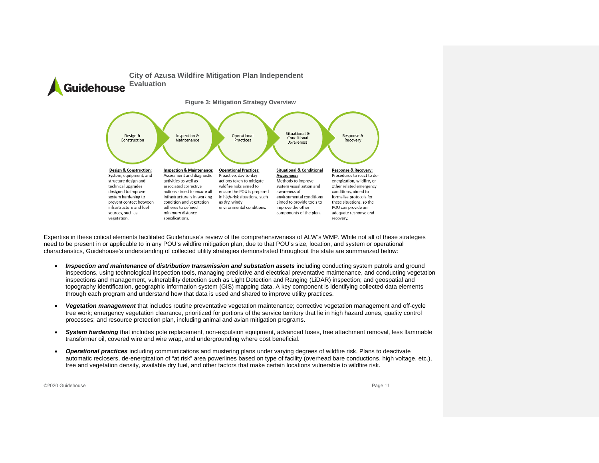

Expertise in these critical elements facilitated Guidehouse's review of the comprehensiveness of ALW's WMP. While not all of these strategies need to be present in or applicable to in any POU's wildfire mitigation plan, due to that POU's size, location, and system or operational characteristics, Guidehouse's understanding of collected utility strategies demonstrated throughout the state are summarized below:

- *Inspection and maintenance of distribution transmission and substation assets* including conducting system patrols and ground inspections, using technological inspection tools, managing predictive and electrical preventative maintenance, and conducting vegetation inspections and management, vulnerability detection such as Light Detection and Ranging (LiDAR) inspection; and geospatial and topography identification, geographic information system (GIS) mapping data. A key component is identifying collected data elements through each program and understand how that data is used and shared to improve utility practices.
- *Vegetation management* that includes routine preventative vegetation maintenance; corrective vegetation management and off-cycle tree work; emergency vegetation clearance, prioritized for portions of the service territory that lie in high hazard zones, quality control processes; and resource protection plan, including animal and avian mitigation programs.
- *System hardening* that includes pole replacement, non-expulsion equipment, advanced fuses, tree attachment removal, less flammable transformer oil, covered wire and wire wrap, and undergrounding where cost beneficial.
- *Operational practices* including communications and mustering plans under varying degrees of wildfire risk. Plans to deactivate automatic reclosers, de-energization of "at risk" area powerlines based on type of facility (overhead bare conductions, high voltage, etc.), tree and vegetation density, available dry fuel, and other factors that make certain locations vulnerable to wildfire risk.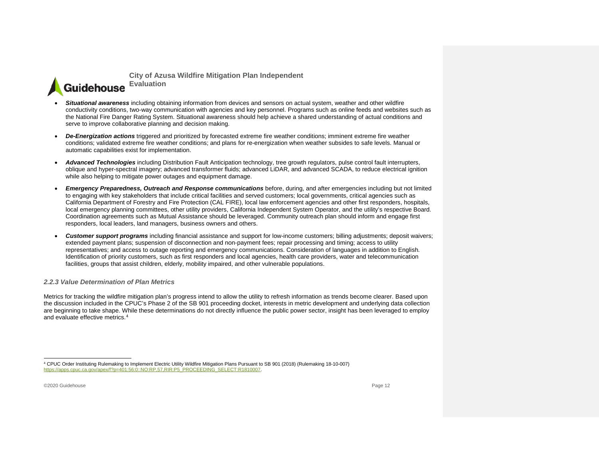<span id="page-12-1"></span>**City of Azusa Wildfire Mitigation Plan Independent Guidehouse** Evaluation

- *Situational awareness* including obtaining information from devices and sensors on actual system, weather and other wildfire conductivity conditions, two-way communication with agencies and key personnel. Programs such as online feeds and websites such as the National Fire Danger Rating System. Situational awareness should help achieve a shared understanding of actual conditions and serve to improve collaborative planning and decision making.
- *De-Energization actions* triggered and prioritized by forecasted extreme fire weather conditions; imminent extreme fire weather conditions; validated extreme fire weather conditions; and plans for re-energization when weather subsides to safe levels. Manual or automatic capabilities exist for implementation.
- *Advanced Technologies* including Distribution Fault Anticipation technology, tree growth regulators, pulse control fault interrupters, oblique and hyper-spectral imagery; advanced transformer fluids; advanced LiDAR, and advanced SCADA, to reduce electrical ignition while also helping to mitigate power outages and equipment damage.
- *Emergency Preparedness, Outreach and Response communications* before, during, and after emergencies including but not limited to engaging with key stakeholders that include critical facilities and served customers; local governments, critical agencies such as California Department of Forestry and Fire Protection (CAL FIRE), local law enforcement agencies and other first responders, hospitals, local emergency planning committees, other utility providers, California Independent System Operator, and the utility's respective Board. Coordination agreements such as Mutual Assistance should be leveraged. Community outreach plan should inform and engage first responders, local leaders, land managers, business owners and others.
- *Customer support programs* including financial assistance and support for low-income customers; billing adjustments; deposit waivers; extended payment plans; suspension of disconnection and non-payment fees; repair processing and timing; access to utility representatives; and access to outage reporting and emergency communications. Consideration of languages in addition to English. Identification of priority customers, such as first responders and local agencies, health care providers, water and telecommunication facilities, groups that assist children, elderly, mobility impaired, and other vulnerable populations.

#### *2.2.3 Value Determination of Plan Metrics*

Metrics for tracking the wildfire mitigation plan's progress intend to allow the utility to refresh information as trends become clearer. Based upon the discussion included in the CPUC's Phase 2 of the SB 901 proceeding docket, interests in metric development and underlying data collection are beginning to take shape. While these determinations do not directly influence the public power sector, insight has been leveraged to employ and evaluate effective metrics.[4](#page-12-1) 

<span id="page-12-0"></span> <sup>4</sup> CPUC Order Instituting Rulemaking to Implement Electric Utility Wildfire Mitigation Plans Pursuant to SB 901 (2018) (Rulemaking 18-10-007) [https://apps.cpuc.ca.gov/apex/f?p=401:56:0::NO:RP,57,RIR:P5\\_PROCEEDING\\_SELECT:R1810007.](https://apps.cpuc.ca.gov/apex/f?p=401:56:0::NO:RP,57,RIR:P5_PROCEEDING_SELECT:R1810007)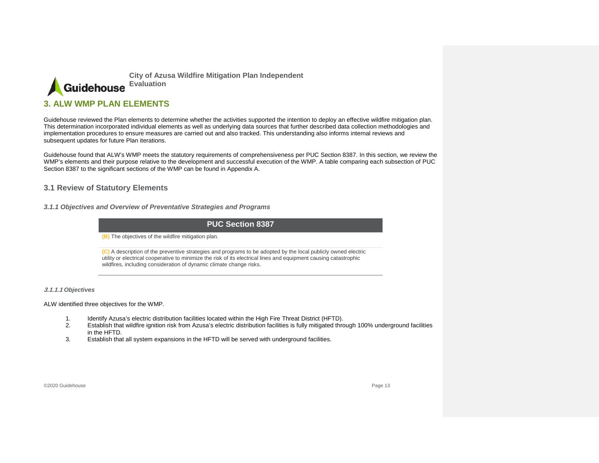

### **3. ALW WMP PLAN ELEMENTS**

Guidehouse reviewed the Plan elements to determine whether the activities supported the intention to deploy an effective wildfire mitigation plan. This determination incorporated individual elements as well as underlying data sources that further described data collection methodologies and implementation procedures to ensure measures are carried out and also tracked. This understanding also informs internal reviews and subsequent updates for future Plan iterations.

Guidehouse found that ALW's WMP meets the statutory requirements of comprehensiveness per PUC Section 8387. In this section, we review the WMP's elements and their purpose relative to the development and successful execution of the WMP. A table comparing each subsection of PUC Section 8387 to the significant sections of the WMP can be found in Appendix A.

### **3.1 Review of Statutory Elements**

*3.1.1 Objectives and Overview of Preventative Strategies and Programs*

### **PUC Section 8387**

**(B)** The objectives of the wildfire mitigation plan.

**(C)** A description of the preventive strategies and programs to be adopted by the local publicly owned electric utility or electrical cooperative to minimize the risk of its electrical lines and equipment causing catastrophic wildfires, including consideration of dynamic climate change risks.

#### <span id="page-13-0"></span>**3.1.1.1** *Objectives*

ALW identified three objectives for the WMP.

- 1. Identify Azusa's electric distribution facilities located within the High Fire Threat District (HFTD).<br>2. Establish that wildfire ignition risk from Azusa's electric distribution facilities is fully mitigated thre
- 2. Establish that wildfire ignition risk from Azusa's electric distribution facilities is fully mitigated through 100% underground facilities in the HFTD.
- <span id="page-13-2"></span><span id="page-13-1"></span>3. Establish that all system expansions in the HFTD will be served with underground facilities.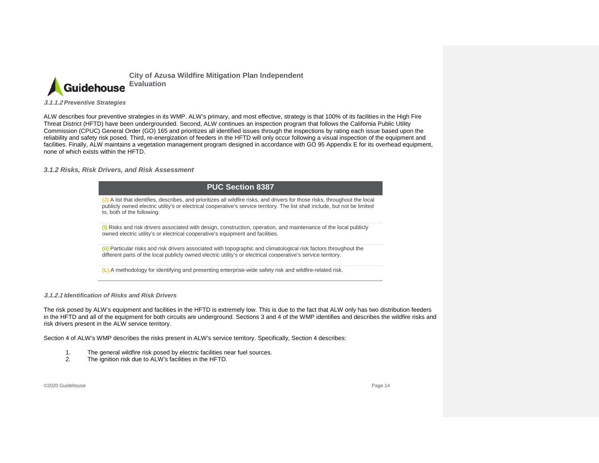

**3.1.1.2** *Preventive Strategies*

ALW describes four preventive strategies in its WMP. ALW's primary, and most effective, strategy is that 100% of its facilities in the High Fire Threat District (HFTD) have been undergrounded. Second, ALW continues an inspection program that follows the California Public Utility Commission (CPUC) General Order (GO) 165 and prioritizes all identified issues through the inspections by rating each issue based upon the reliability and safety risk posed. Third, re-energization of feeders in the HFTD will only occur following a visual inspection of the equipment and facilities. Finally, ALW maintains a vegetation management program designed in accordance with GO 95 Appendix E for its overhead equipment, none of which exists within the HFTD.

*3.1.2 Risks, Risk Drivers, and Risk Assessment*

| <b>PUC Section 8387</b>                                                                                                                                                                                                                                                                   |
|-------------------------------------------------------------------------------------------------------------------------------------------------------------------------------------------------------------------------------------------------------------------------------------------|
| (J) A list that identifies, describes, and prioritizes all wildfire risks, and drivers for those risks, throughout the local<br>publicly owned electric utility's or electrical cooperative's service territory. The list shall include, but not be limited<br>to, both of the following: |
| (i) Risks and risk drivers associated with design, construction, operation, and maintenance of the local publicly<br>owned electric utility's or electrical cooperative's equipment and facilities.                                                                                       |
| (ii) Particular risks and risk drivers associated with topographic and climatological risk factors throughout the<br>different parts of the local publicly owned electric utility's or electrical cooperative's service territory.                                                        |
| (L) A methodology for identifying and presenting enterprise-wide safety risk and wildfire-related risk.                                                                                                                                                                                   |

**3.1.2.1** *Identification of Risks and Risk Drivers*

<span id="page-14-0"></span>The risk posed by ALW's equipment and facilities in the HFTD is extremely low. This is due to the fact that ALW only has two distribution feeders in the HFTD and all of the equipment for both circuits are underground. Sections 3 and 4 of the WMP identifies and describes the wildfire risks and risk drivers present in the ALW service territory.

Section 4 of ALW's WMP describes the risks present in ALW's service territory. Specifically, Section 4 describes:

- 1. The general wildfire risk posed by electric facilities near fuel sources.
- 2. The ignition risk due to ALW's facilities in the HFTD.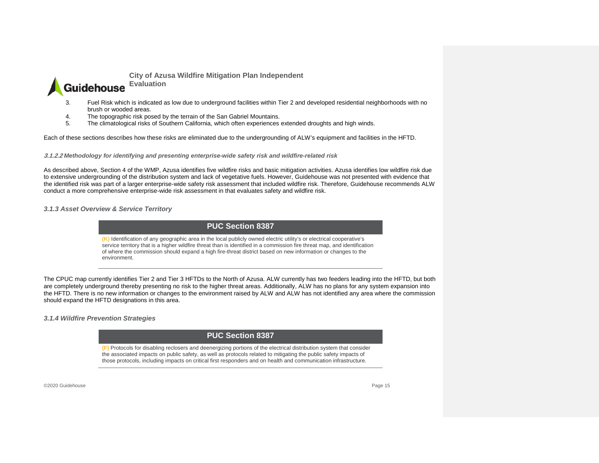

- 3. Fuel Risk which is indicated as low due to underground facilities within Tier 2 and developed residential neighborhoods with no brush or wooded areas.
- 4. The topographic risk posed by the terrain of the San Gabriel Mountains.
- 5. The climatological risks of Southern California, which often experiences extended droughts and high winds.

Each of these sections describes how these risks are eliminated due to the undergrounding of ALW's equipment and facilities in the HFTD.

**3.1.2.2** *Methodology for identifying and presenting enterprise-wide safety risk and wildfire-related risk*

As described above, Section 4 of the WMP, Azusa identifies five wildfire risks and basic mitigation activities. Azusa identifies low wildfire risk due to extensive undergrounding of the distribution system and lack of vegetative fuels. However, Guidehouse was not presented with evidence that the identified risk was part of a larger enterprise-wide safety risk assessment that included wildfire risk. Therefore, Guidehouse recommends ALW conduct a more comprehensive enterprise-wide risk assessment in that evaluates safety and wildfire risk.

*3.1.3 Asset Overview & Service Territory*

### **PUC Section 8387**

**(K)** Identification of any geographic area in the local publicly owned electric utility's or electrical cooperative's service territory that is a higher wildfire threat than is identified in a commission fire threat map, and identification of where the commission should expand a high fire-threat district based on new information or changes to the environment.

The CPUC map currently identifies Tier 2 and Tier 3 HFTDs to the North of Azusa. ALW currently has two feeders leading into the HFTD, but both are completely underground thereby presenting no risk to the higher threat areas. Additionally, ALW has no plans for any system expansion into the HFTD. There is no new information or changes to the environment raised by ALW and ALW has not identified any area where the commission should expand the HFTD designations in this area.

<span id="page-15-0"></span>*3.1.4 Wildfire Prevention Strategies*

### **PUC Section 8387**

<span id="page-15-1"></span>**(F)** Protocols for disabling reclosers and deenergizing portions of the electrical distribution system that consider the associated impacts on public safety, as well as protocols related to mitigating the public safety impacts of those protocols, including impacts on critical first responders and on health and communication infrastructure.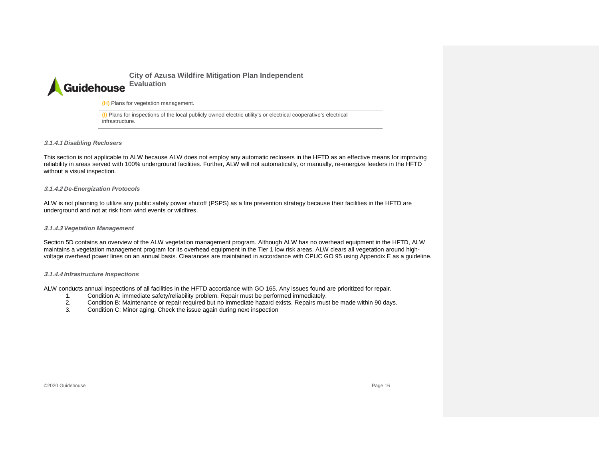### **City of Azusa Wildfire Mitigation Plan Independent Evaluation** Guidehouse

**(H)** Plans for vegetation management.

**(I)** Plans for inspections of the local publicly owned electric utility's or electrical cooperative's electrical infrastructure.

**3.1.4.1** *Disabling Reclosers*

This section is not applicable to ALW because ALW does not employ any automatic reclosers in the HFTD as an effective means for improving reliability in areas served with 100% underground facilities. Further, ALW will not automatically, or manually, re-energize feeders in the HFTD without a visual inspection.

#### **3.1.4.2** *De-Energization Protocols*

ALW is not planning to utilize any public safety power shutoff (PSPS) as a fire prevention strategy because their facilities in the HFTD are underground and not at risk from wind events or wildfires.

#### **3.1.4.3** *Vegetation Management*

Section 5D contains an overview of the ALW vegetation management program. Although ALW has no overhead equipment in the HFTD, ALW maintains a vegetation management program for its overhead equipment in the Tier 1 low risk areas. ALW clears all vegetation around highvoltage overhead power lines on an annual basis. Clearances are maintained in accordance with CPUC GO 95 using Appendix E as a guideline.

#### **3.1.4.4** *Infrastructure Inspections*

ALW conducts annual inspections of all facilities in the HFTD accordance with GO 165. Any issues found are prioritized for repair.

- 1. Condition A: immediate safety/reliability problem. Repair must be performed immediately.
- 2. Condition B: Maintenance or repair required but no immediate hazard exists. Repairs must be made within 90 days.
- 3. Condition C: Minor aging. Check the issue again during next inspection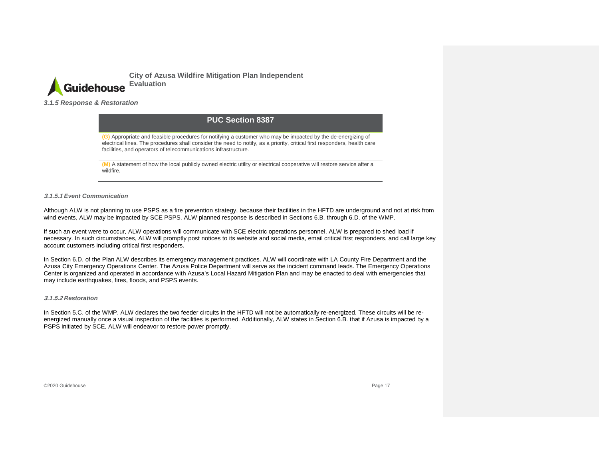

*3.1.5 Response & Restoration*

### **PUC Section 8387**

**(G)** Appropriate and feasible procedures for notifying a customer who may be impacted by the de-energizing of electrical lines. The procedures shall consider the need to notify, as a priority, critical first responders, health care facilities, and operators of telecommunications infrastructure.

**(M)** A statement of how the local publicly owned electric utility or electrical cooperative will restore service after a wildfire.

#### **3.1.5.1** *Event Communication*

Although ALW is not planning to use PSPS as a fire prevention strategy, because their facilities in the HFTD are underground and not at risk from wind events, ALW may be impacted by SCE PSPS. ALW planned response is described in Sections 6.B. through 6.D. of the WMP.

If such an event were to occur, ALW operations will communicate with SCE electric operations personnel. ALW is prepared to shed load if necessary. In such circumstances, ALW will promptly post notices to its website and social media, email critical first responders, and call large key account customers including critical first responders.

<span id="page-17-0"></span>In Section 6.D. of the Plan ALW describes its emergency management practices. ALW will coordinate with LA County Fire Department and the Azusa City Emergency Operations Center. The Azusa Police Department will serve as the incident command leads. The Emergency Operations Center is organized and operated in accordance with Azusa's Local Hazard Mitigation Plan and may be enacted to deal with emergencies that may include earthquakes, fires, floods, and PSPS events.

#### **3.1.5.2** *Restoration*

In Section 5.C. of the WMP, ALW declares the two feeder circuits in the HFTD will not be automatically re-energized. These circuits will be reenergized manually once a visual inspection of the facilities is performed. Additionally, ALW states in Section 6.B. that if Azusa is impacted by a PSPS initiated by SCE, ALW will endeavor to restore power promptly.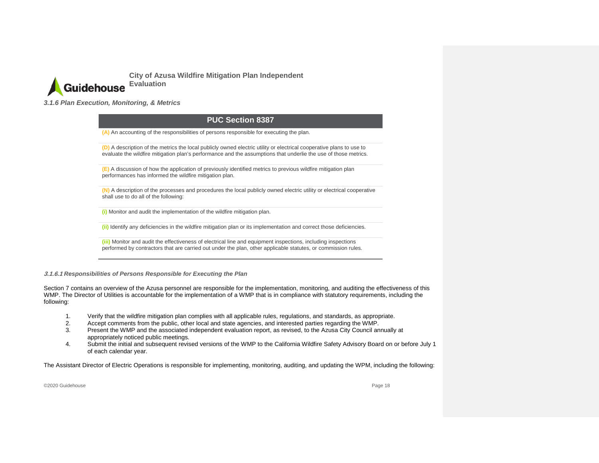

*3.1.6 Plan Execution, Monitoring, & Metrics*

### **PUC Section 8387**

**(A)** An accounting of the responsibilities of persons responsible for executing the plan.

**(D)** A description of the metrics the local publicly owned electric utility or electrical cooperative plans to use to evaluate the wildfire mitigation plan's performance and the assumptions that underlie the use of those metrics.

**(E)** A discussion of how the application of previously identified metrics to previous wildfire mitigation plan performances has informed the wildfire mitigation plan.

**(N)** A description of the processes and procedures the local publicly owned electric utility or electrical cooperative shall use to do all of the following:

**(i)** Monitor and audit the implementation of the wildfire mitigation plan.

**(ii)** Identify any deficiencies in the wildfire mitigation plan or its implementation and correct those deficiencies.

**(iii)** Monitor and audit the effectiveness of electrical line and equipment inspections, including inspections performed by contractors that are carried out under the plan, other applicable statutes, or commission rules.

<span id="page-18-0"></span>**3.1.6.1** *Responsibilities of Persons Responsible for Executing the Plan*

Section 7 contains an overview of the Azusa personnel are responsible for the implementation, monitoring, and auditing the effectiveness of this WMP. The Director of Utilities is accountable for the implementation of a WMP that is in compliance with statutory requirements, including the following:

- 1. Verify that the wildfire mitigation plan complies with all applicable rules, regulations, and standards, as appropriate.<br>2. Accept comments from the public, other local and state agencies, and interested parties regardi
- 2. Accept comments from the public, other local and state agencies, and interested parties regarding the WMP.
- 3. Present the WMP and the associated independent evaluation report, as revised, to the Azusa City Council annually at appropriately noticed public meetings.
- 4. Submit the initial and subsequent revised versions of the WMP to the California Wildfire Safety Advisory Board on or before July 1 of each calendar year.

The Assistant Director of Electric Operations is responsible for implementing, monitoring, auditing, and updating the WPM, including the following: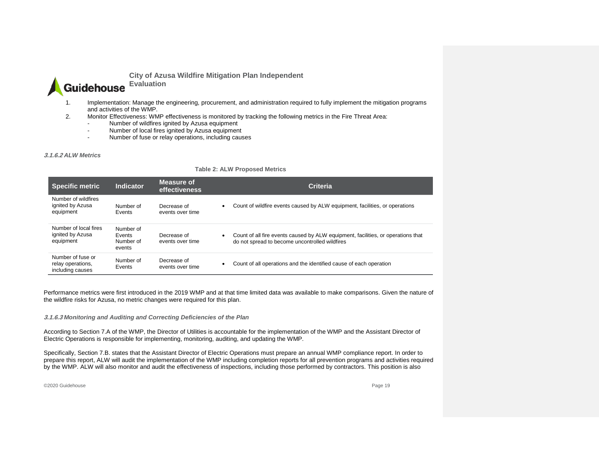

**Evaluation**

- 1. Implementation: Manage the engineering, procurement, and administration required to fully implement the mitigation programs and activities of the WMP.
- 2. Monitor Effectiveness: WMP effectiveness is monitored by tracking the following metrics in the Fire Threat Area:
	- Number of wildfires ignited by Azusa equipment
	- Number of local fires ignited by Azusa equipment
	- Number of fuse or relay operations, including causes

#### **3.1.6.2** *ALW Metrics*

#### **Table 2: ALW Proposed Metrics**

| <b>Specific metric</b>                                     | <b>Indicator</b>                           | Measure of<br>effectiveness     | <b>Criteria</b>                                                                                                                    |
|------------------------------------------------------------|--------------------------------------------|---------------------------------|------------------------------------------------------------------------------------------------------------------------------------|
| Number of wildfires<br>ignited by Azusa<br>equipment       | Number of<br>Events                        | Decrease of<br>events over time | Count of wildfire events caused by ALW equipment, facilities, or operations                                                        |
| Number of local fires<br>ignited by Azusa<br>equipment     | Number of<br>Events<br>Number of<br>events | Decrease of<br>events over time | Count of all fire events caused by ALW equipment, facilities, or operations that<br>do not spread to become uncontrolled wildfires |
| Number of fuse or<br>relay operations,<br>including causes | Number of<br>Events                        | Decrease of<br>events over time | Count of all operations and the identified cause of each operation                                                                 |

Performance metrics were first introduced in the 2019 WMP and at that time limited data was available to make comparisons. Given the nature of the wildfire risks for Azusa, no metric changes were required for this plan.

#### **3.1.6.3** *Monitoring and Auditing and Correcting Deficiencies of the Plan*

According to Section 7.A of the WMP, the Director of Utilities is accountable for the implementation of the WMP and the Assistant Director of Electric Operations is responsible for implementing, monitoring, auditing, and updating the WMP.

Specifically, Section 7.B. states that the Assistant Director of Electric Operations must prepare an annual WMP compliance report. In order to prepare this report, ALW will audit the implementation of the WMP including completion reports for all prevention programs and activities required by the WMP. ALW will also monitor and audit the effectiveness of inspections, including those performed by contractors. This position is also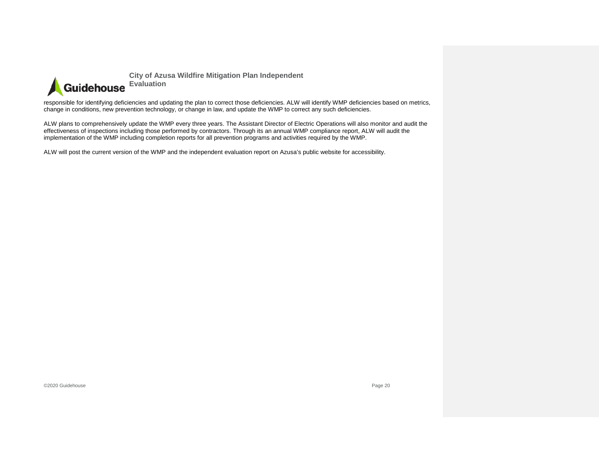

responsible for identifying deficiencies and updating the plan to correct those deficiencies. ALW will identify WMP deficiencies based on metrics, change in conditions, new prevention technology, or change in law, and update the WMP to correct any such deficiencies.

ALW plans to comprehensively update the WMP every three years. The Assistant Director of Electric Operations will also monitor and audit the effectiveness of inspections including those performed by contractors. Through its an annual WMP compliance report, ALW will audit the implementation of the WMP including completion reports for all prevention programs and activities required by the WMP.

ALW will post the current version of the WMP and the independent evaluation report on Azusa's public website for accessibility.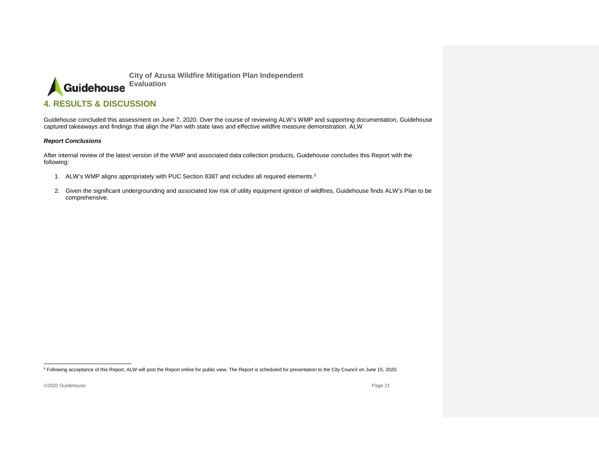<span id="page-21-1"></span>

### **4. RESULTS & DISCUSSION**

Guidehouse concluded this assessment on June 7, 2020. Over the course of reviewing ALW's WMP and supporting documentation, Guidehouse captured takeaways and findings that align the Plan with state laws and effective wildfire measure demonstration. ALW

#### *Report Conclusions*

After internal review of the latest version of the WMP and associated data collection products, Guidehouse concludes this Report with the following:

- 1. ALW's WMP aligns appropriately with PUC Section 8387 and includes all required elements.<sup>[5](#page-21-1)</sup>
- <span id="page-21-0"></span>2. Given the significant undergrounding and associated low risk of utility equipment ignition of wildfires, Guidehouse finds ALW's Plan to be comprehensive.

 <sup>5</sup> Following acceptance of this Report, ALW will post the Report online for public view. The Report is scheduled for presentation to the City Council on June 15, 2020.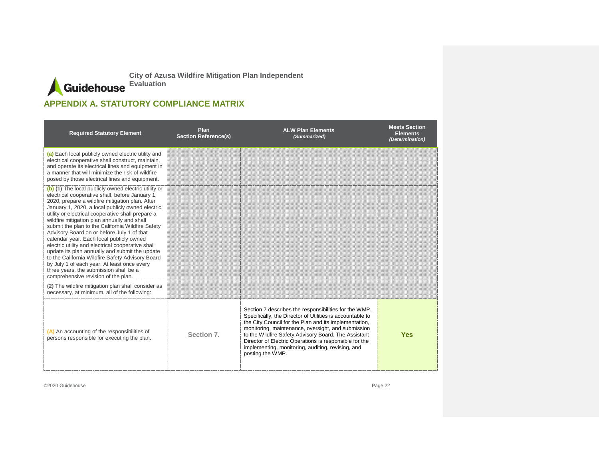# **APPENDIX A. STATUTORY COMPLIANCE MATRIX**

<span id="page-22-0"></span>

| <b>Required Statutory Element</b>                                                                                                                                                                                                                                                                                                                                                                                                                                                                                                                                                                                                                                                                                                                            | Plan<br><b>Section Reference(s)</b> | <b>ALW Plan Elements</b><br>(Summarized)                                                                                                                                                                                                                                                                                                                                                                                     | <b>Meets Section</b><br><b>Elements</b><br>(Determination) |
|--------------------------------------------------------------------------------------------------------------------------------------------------------------------------------------------------------------------------------------------------------------------------------------------------------------------------------------------------------------------------------------------------------------------------------------------------------------------------------------------------------------------------------------------------------------------------------------------------------------------------------------------------------------------------------------------------------------------------------------------------------------|-------------------------------------|------------------------------------------------------------------------------------------------------------------------------------------------------------------------------------------------------------------------------------------------------------------------------------------------------------------------------------------------------------------------------------------------------------------------------|------------------------------------------------------------|
| (a) Each local publicly owned electric utility and<br>electrical cooperative shall construct, maintain,<br>and operate its electrical lines and equipment in<br>a manner that will minimize the risk of wildfire<br>posed by those electrical lines and equipment.                                                                                                                                                                                                                                                                                                                                                                                                                                                                                           |                                     |                                                                                                                                                                                                                                                                                                                                                                                                                              |                                                            |
| (b) (1) The local publicly owned electric utility or<br>electrical cooperative shall, before January 1,<br>2020, prepare a wildfire mitigation plan. After<br>January 1, 2020, a local publicly owned electric<br>utility or electrical cooperative shall prepare a<br>wildfire mitigation plan annually and shall<br>submit the plan to the California Wildfire Safety<br>Advisory Board on or before July 1 of that<br>calendar year. Each local publicly owned<br>electric utility and electrical cooperative shall<br>update its plan annually and submit the update<br>to the California Wildfire Safety Advisory Board<br>by July 1 of each year. At least once every<br>three years, the submission shall be a<br>comprehensive revision of the plan. |                                     |                                                                                                                                                                                                                                                                                                                                                                                                                              |                                                            |
| (2) The wildfire mitigation plan shall consider as<br>necessary, at minimum, all of the following:                                                                                                                                                                                                                                                                                                                                                                                                                                                                                                                                                                                                                                                           |                                     |                                                                                                                                                                                                                                                                                                                                                                                                                              |                                                            |
| (A) An accounting of the responsibilities of<br>persons responsible for executing the plan.                                                                                                                                                                                                                                                                                                                                                                                                                                                                                                                                                                                                                                                                  | Section 7.                          | Section 7 describes the responsibilities for the WMP.<br>Specifically, the Director of Utilities is accountable to<br>the City Council for the Plan and its implementation,<br>monitoring, maintenance, oversight, and submission<br>to the Wildfire Safety Advisory Board. The Assistant<br>Director of Electric Operations is responsible for the<br>implementing, monitoring, auditing, revising, and<br>posting the WMP. | <b>Yes</b>                                                 |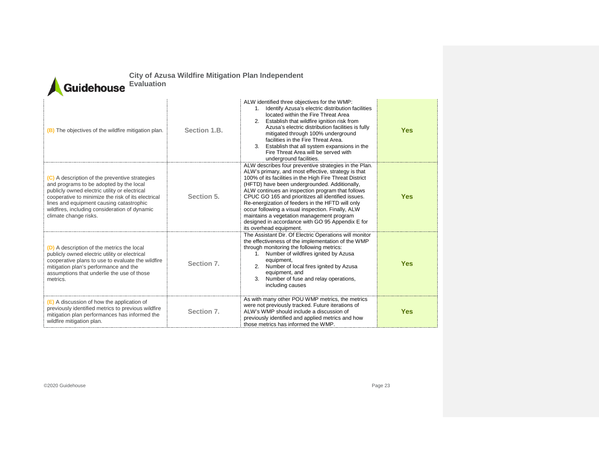| <b>City of Azusa Wildfire Mitigation Plan Independent</b> |  |  |
|-----------------------------------------------------------|--|--|
|                                                           |  |  |

**Evaluation**

| (B) The objectives of the wildfire mitigation plan.                                                                                                                                                                                                                                                                    | Section 1.B. | ALW identified three objectives for the WMP:<br>1. Identify Azusa's electric distribution facilities<br>located within the Fire Threat Area<br>2. Establish that wildfire ignition risk from<br>Azusa's electric distribution facilities is fully<br>mitigated through 100% underground<br>facilities in the Fire Threat Area.<br>3. Establish that all system expansions in the<br>Fire Threat Area will be served with<br>underground facilities.                                                                                                                     | <b>Yes</b> |
|------------------------------------------------------------------------------------------------------------------------------------------------------------------------------------------------------------------------------------------------------------------------------------------------------------------------|--------------|-------------------------------------------------------------------------------------------------------------------------------------------------------------------------------------------------------------------------------------------------------------------------------------------------------------------------------------------------------------------------------------------------------------------------------------------------------------------------------------------------------------------------------------------------------------------------|------------|
| (C) A description of the preventive strategies<br>and programs to be adopted by the local<br>publicly owned electric utility or electrical<br>cooperative to minimize the risk of its electrical<br>lines and equipment causing catastrophic<br>wildfires, including consideration of dynamic<br>climate change risks. | Section 5.   | ALW describes four preventive strategies in the Plan.<br>ALW's primary, and most effective, strategy is that<br>100% of its facilities in the High Fire Threat District<br>(HFTD) have been undergrounded. Additionally,<br>ALW continues an inspection program that follows<br>CPUC GO 165 and prioritizes all identified issues.<br>Re-energization of feeders in the HFTD will only<br>occur following a visual inspection. Finally, ALW<br>maintains a vegetation management program<br>designed in accordance with GO 95 Appendix E for<br>its overhead equipment. | <b>Yes</b> |
| (D) A description of the metrics the local<br>publicly owned electric utility or electrical<br>cooperative plans to use to evaluate the wildfire<br>mitigation plan's performance and the<br>assumptions that underlie the use of those<br>metrics.                                                                    | Section 7.   | The Assistant Dir. Of Electric Operations will monitor<br>the effectiveness of the implementation of the WMP<br>through monitoring the following metrics:<br>1. Number of wildfires ignited by Azusa<br>equipment,<br>2. Number of local fires ignited by Azusa<br>equipment, and<br>3. Number of fuse and relay operations,<br>including causes                                                                                                                                                                                                                        | <b>Yes</b> |
| (E) A discussion of how the application of<br>previously identified metrics to previous wildfire<br>mitigation plan performances has informed the<br>wildfire mitigation plan.                                                                                                                                         | Section 7.   | As with many other POU WMP metrics, the metrics<br>were not previously tracked. Future iterations of<br>ALW's WMP should include a discussion of<br>previously identified and applied metrics and how<br>those metrics has informed the WMP.                                                                                                                                                                                                                                                                                                                            | <b>Yes</b> |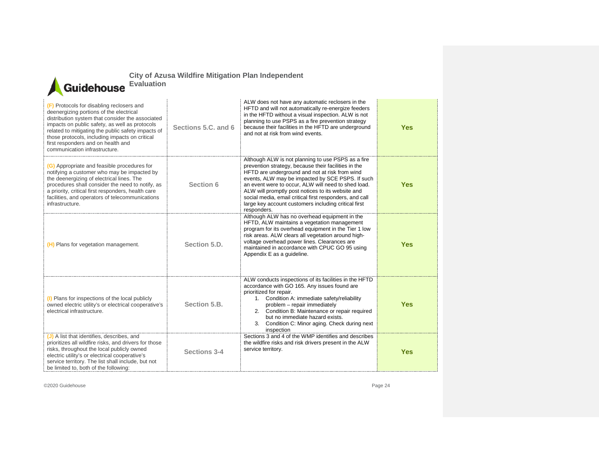

**Evaluation**

| (F) Protocols for disabling reclosers and<br>deenergizing portions of the electrical<br>distribution system that consider the associated<br>impacts on public safety, as well as protocols<br>related to mitigating the public safety impacts of<br>those protocols, including impacts on critical<br>first responders and on health and<br>communication infrastructure. | Sections 5.C. and 6 | ALW does not have any automatic reclosers in the<br>HFTD and will not automatically re-energize feeders<br>in the HFTD without a visual inspection. ALW is not<br>planning to use PSPS as a fire prevention strategy<br>because their facilities in the HFTD are underground<br>and not at risk from wind events.                                                                                                                                              | <b>Yes</b> |
|---------------------------------------------------------------------------------------------------------------------------------------------------------------------------------------------------------------------------------------------------------------------------------------------------------------------------------------------------------------------------|---------------------|----------------------------------------------------------------------------------------------------------------------------------------------------------------------------------------------------------------------------------------------------------------------------------------------------------------------------------------------------------------------------------------------------------------------------------------------------------------|------------|
| (G) Appropriate and feasible procedures for<br>notifying a customer who may be impacted by<br>the deenergizing of electrical lines. The<br>procedures shall consider the need to notify, as<br>a priority, critical first responders, health care<br>facilities, and operators of telecommunications<br>infrastructure.                                                   | Section 6           | Although ALW is not planning to use PSPS as a fire<br>prevention strategy, because their facilities in the<br>HFTD are underground and not at risk from wind<br>events, ALW may be impacted by SCE PSPS. If such<br>an event were to occur. ALW will need to shed load.<br>ALW will promptly post notices to its website and<br>social media, email critical first responders, and call<br>large key account customers including critical first<br>responders. | <b>Yes</b> |
| (H) Plans for vegetation management.                                                                                                                                                                                                                                                                                                                                      | Section 5.D.        | Although ALW has no overhead equipment in the<br>HFTD, ALW maintains a vegetation management<br>program for its overhead equipment in the Tier 1 low<br>risk areas. ALW clears all vegetation around high-<br>voltage overhead power lines. Clearances are<br>maintained in accordance with CPUC GO 95 using<br>Appendix E as a guideline.                                                                                                                     | <b>Yes</b> |
| (I) Plans for inspections of the local publicly<br>owned electric utility's or electrical cooperative's<br>electrical infrastructure.                                                                                                                                                                                                                                     | Section 5.B.        | ALW conducts inspections of its facilities in the HFTD<br>accordance with GO 165. Any issues found are<br>prioritized for repair.<br>1. Condition A: immediate safety/reliability<br>problem - repair immediately<br>2. Condition B: Maintenance or repair required<br>but no immediate hazard exists.<br>Condition C: Minor aging. Check during next<br>3.<br>inspection                                                                                      | <b>Yes</b> |
| (J) A list that identifies, describes, and<br>prioritizes all wildfire risks, and drivers for those<br>risks, throughout the local publicly owned<br>electric utility's or electrical cooperative's<br>service territory. The list shall include, but not<br>be limited to, both of the following:                                                                        | Sections 3-4        | Sections 3 and 4 of the WMP identifies and describes<br>the wildfire risks and risk drivers present in the ALW<br>service territory.                                                                                                                                                                                                                                                                                                                           | <b>Yes</b> |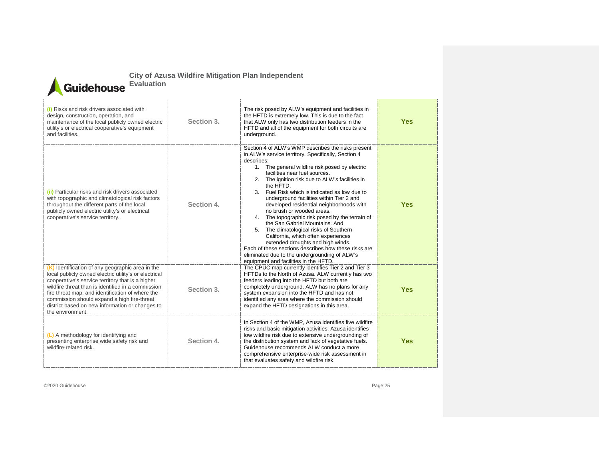

**Evaluation**

| (i) Risks and risk drivers associated with<br>design, construction, operation, and<br>maintenance of the local publicly owned electric<br>utility's or electrical cooperative's equipment<br>and facilities.                                                                                                                                                                                  | Section 3. | The risk posed by ALW's equipment and facilities in<br>the HFTD is extremely low. This is due to the fact<br>that ALW only has two distribution feeders in the<br>HFTD and all of the equipment for both circuits are<br>underground.                                                                                                                                                                                                                                                                                                                                                                                                                                                                                                                                                                          | <b>Yes</b> |
|-----------------------------------------------------------------------------------------------------------------------------------------------------------------------------------------------------------------------------------------------------------------------------------------------------------------------------------------------------------------------------------------------|------------|----------------------------------------------------------------------------------------------------------------------------------------------------------------------------------------------------------------------------------------------------------------------------------------------------------------------------------------------------------------------------------------------------------------------------------------------------------------------------------------------------------------------------------------------------------------------------------------------------------------------------------------------------------------------------------------------------------------------------------------------------------------------------------------------------------------|------------|
| (ii) Particular risks and risk drivers associated<br>with topographic and climatological risk factors<br>throughout the different parts of the local<br>publicly owned electric utility's or electrical<br>cooperative's service territory.                                                                                                                                                   | Section 4. | Section 4 of ALW's WMP describes the risks present<br>in ALW's service territory. Specifically, Section 4<br>describes:<br>1. The general wildfire risk posed by electric<br>facilities near fuel sources.<br>2. The ignition risk due to ALW's facilities in<br>the HFTD.<br>3. Fuel Risk which is indicated as low due to<br>underground facilities within Tier 2 and<br>developed residential neighborhoods with<br>no brush or wooded areas.<br>4. The topographic risk posed by the terrain of<br>the San Gabriel Mountains, And<br>5. The climatological risks of Southern<br>California, which often experiences<br>extended droughts and high winds.<br>Each of these sections describes how these risks are<br>eliminated due to the undergrounding of ALW's<br>equipment and facilities in the HFTD. | <b>Yes</b> |
| (K) Identification of any geographic area in the<br>local publicly owned electric utility's or electrical<br>cooperative's service territory that is a higher<br>wildfire threat than is identified in a commission<br>fire threat map, and identification of where the<br>commission should expand a high fire-threat<br>district based on new information or changes to<br>the environment. | Section 3. | The CPUC map currently identifies Tier 2 and Tier 3<br>HFTDs to the North of Azusa. ALW currently has two<br>feeders leading into the HFTD but both are<br>completely underground. ALW has no plans for any<br>system expansion into the HFTD and has not<br>identified any area where the commission should<br>expand the HFTD designations in this area.                                                                                                                                                                                                                                                                                                                                                                                                                                                     | <b>Yes</b> |
| (L) A methodology for identifying and<br>presenting enterprise wide safety risk and<br>wildfire-related risk.                                                                                                                                                                                                                                                                                 | Section 4. | In Section 4 of the WMP, Azusa identifies five wildfire<br>risks and basic mitigation activities. Azusa identifies<br>low wildfire risk due to extensive undergrounding of<br>the distribution system and lack of vegetative fuels.<br>Guidehouse recommends ALW conduct a more<br>comprehensive enterprise-wide risk assessment in<br>that evaluates safety and wildfire risk.                                                                                                                                                                                                                                                                                                                                                                                                                                | <b>Yes</b> |
|                                                                                                                                                                                                                                                                                                                                                                                               |            |                                                                                                                                                                                                                                                                                                                                                                                                                                                                                                                                                                                                                                                                                                                                                                                                                |            |

©2020 Guidehouse Page 25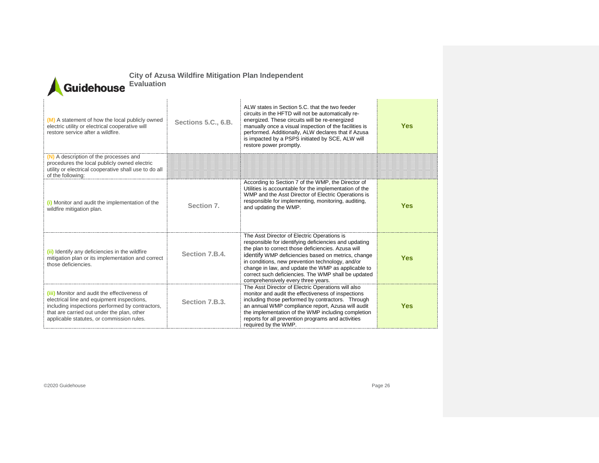|                       | <b>City of Azu</b> |
|-----------------------|--------------------|
| Guidehouse Evaluation |                    |

**(M)** A statement of how the local publicly owned electric utility or electrical cooperative will restore service after a wildfire. **Sections 5.C., 6.B.** ALW states in Section 5.C. that the two feeder circuits in the HFTD will not be automatically reenergized. These circuits will be re-energized manually once a visual inspection of the facilities is performed. Additionally, ALW declares that if Azusa is impacted by a PSPS initiated by SCE, ALW will restore power promptly. **Yes (N)** A description of the processes and procedures the local publicly owned electric utility or electrical cooperative shall use to do all of the following: **(i)** Monitor and audit the implementation of the (i) Monitor and audit the implementation of the Section 7.<br>wildfire mitigation plan. According to Section 7 of the WMP, the Director of Utilities is accountable for the implementation of the WMP and the Asst Director of Electric Operations is responsible for implementing, monitoring, auditing, and updating the WMP. **Yes (ii)** Identify any deficiencies in the wildfire mitigation plan or its implementation and correct those deficiencies. **Section 7.B.4.** The Asst Director of Electric Operations is responsible for identifying deficiencies and updating the plan to correct those deficiencies. Azusa will identify WMP deficiencies based on metrics, change in conditions, new prevention technology, and/or change in law, and update the WMP as applicable to correct such deficiencies. The WMP shall be updated comprehensively every three years. **Yes (iii)** Monitor and audit the effectiveness of electrical line and equipment inspections, including inspections performed by contractors, that are carried out under the plan, other applicable statutes, or commission rules. **Section 7.B.3.** The Asst Director of Electric Operations will also monitor and audit the effectiveness of inspections including those performed by contractors. Through an annual WMP compliance report, Azusa will audit the implementation of the WMP including completion reports for all prevention programs and activities required by the WMP. **Yes**